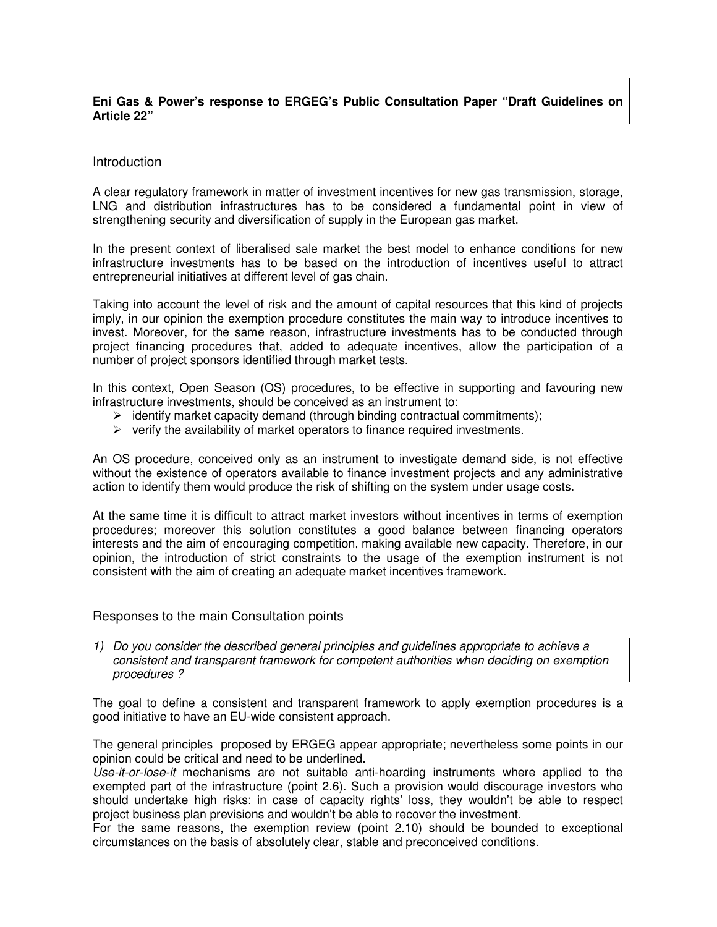## **Eni Gas & Power's response to ERGEG's Public Consultation Paper "Draft Guidelines on Article 22"**

### Introduction

A clear regulatory framework in matter of investment incentives for new gas transmission, storage, LNG and distribution infrastructures has to be considered a fundamental point in view of strengthening security and diversification of supply in the European gas market.

In the present context of liberalised sale market the best model to enhance conditions for new infrastructure investments has to be based on the introduction of incentives useful to attract entrepreneurial initiatives at different level of gas chain.

Taking into account the level of risk and the amount of capital resources that this kind of projects imply, in our opinion the exemption procedure constitutes the main way to introduce incentives to invest. Moreover, for the same reason, infrastructure investments has to be conducted through project financing procedures that, added to adequate incentives, allow the participation of a number of project sponsors identified through market tests.

In this context, Open Season (OS) procedures, to be effective in supporting and favouring new infrastructure investments, should be conceived as an instrument to:

- $\triangleright$  identify market capacity demand (through binding contractual commitments);
- $\triangleright$  verify the availability of market operators to finance required investments.

An OS procedure, conceived only as an instrument to investigate demand side, is not effective without the existence of operators available to finance investment projects and any administrative action to identify them would produce the risk of shifting on the system under usage costs.

At the same time it is difficult to attract market investors without incentives in terms of exemption procedures; moreover this solution constitutes a good balance between financing operators interests and the aim of encouraging competition, making available new capacity. Therefore, in our opinion, the introduction of strict constraints to the usage of the exemption instrument is not consistent with the aim of creating an adequate market incentives framework.

#### Responses to the main Consultation points

1) Do you consider the described general principles and guidelines appropriate to achieve a consistent and transparent framework for competent authorities when deciding on exemption procedures ?

The goal to define a consistent and transparent framework to apply exemption procedures is a good initiative to have an EU-wide consistent approach.

The general principles proposed by ERGEG appear appropriate; nevertheless some points in our opinion could be critical and need to be underlined.

Use-it-or-lose-it mechanisms are not suitable anti-hoarding instruments where applied to the exempted part of the infrastructure (point 2.6). Such a provision would discourage investors who should undertake high risks: in case of capacity rights' loss, they wouldn't be able to respect project business plan previsions and wouldn't be able to recover the investment.

For the same reasons, the exemption review (point 2.10) should be bounded to exceptional circumstances on the basis of absolutely clear, stable and preconceived conditions.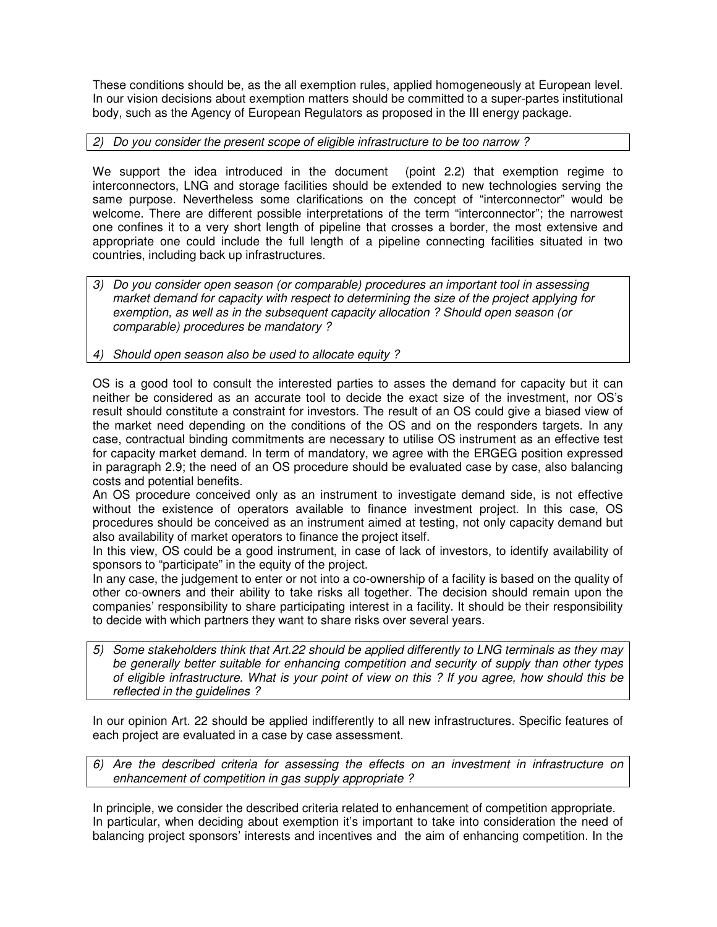These conditions should be, as the all exemption rules, applied homogeneously at European level. In our vision decisions about exemption matters should be committed to a super-partes institutional body, such as the Agency of European Regulators as proposed in the III energy package.

## 2) Do you consider the present scope of eligible infrastructure to be too narrow ?

We support the idea introduced in the document (point 2.2) that exemption regime to interconnectors, LNG and storage facilities should be extended to new technologies serving the same purpose. Nevertheless some clarifications on the concept of "interconnector" would be welcome. There are different possible interpretations of the term "interconnector"; the narrowest one confines it to a very short length of pipeline that crosses a border, the most extensive and appropriate one could include the full length of a pipeline connecting facilities situated in two countries, including back up infrastructures.

3) Do you consider open season (or comparable) procedures an important tool in assessing market demand for capacity with respect to determining the size of the project applying for exemption, as well as in the subsequent capacity allocation ? Should open season (or comparable) procedures be mandatory ?

# 4) Should open season also be used to allocate equity ?

OS is a good tool to consult the interested parties to asses the demand for capacity but it can neither be considered as an accurate tool to decide the exact size of the investment, nor OS's result should constitute a constraint for investors. The result of an OS could give a biased view of the market need depending on the conditions of the OS and on the responders targets. In any case, contractual binding commitments are necessary to utilise OS instrument as an effective test for capacity market demand. In term of mandatory, we agree with the ERGEG position expressed in paragraph 2.9; the need of an OS procedure should be evaluated case by case, also balancing costs and potential benefits.

An OS procedure conceived only as an instrument to investigate demand side, is not effective without the existence of operators available to finance investment project. In this case, OS procedures should be conceived as an instrument aimed at testing, not only capacity demand but also availability of market operators to finance the project itself.

In this view, OS could be a good instrument, in case of lack of investors, to identify availability of sponsors to "participate" in the equity of the project.

In any case, the judgement to enter or not into a co-ownership of a facility is based on the quality of other co-owners and their ability to take risks all together. The decision should remain upon the companies' responsibility to share participating interest in a facility. It should be their responsibility to decide with which partners they want to share risks over several years.

5) Some stakeholders think that Art.22 should be applied differently to LNG terminals as they may be generally better suitable for enhancing competition and security of supply than other types of eligible infrastructure. What is your point of view on this ? If you agree, how should this be reflected in the guidelines ?

In our opinion Art. 22 should be applied indifferently to all new infrastructures. Specific features of each project are evaluated in a case by case assessment.

6) Are the described criteria for assessing the effects on an investment in infrastructure on enhancement of competition in gas supply appropriate ?

In principle, we consider the described criteria related to enhancement of competition appropriate. In particular, when deciding about exemption it's important to take into consideration the need of balancing project sponsors' interests and incentives and the aim of enhancing competition. In the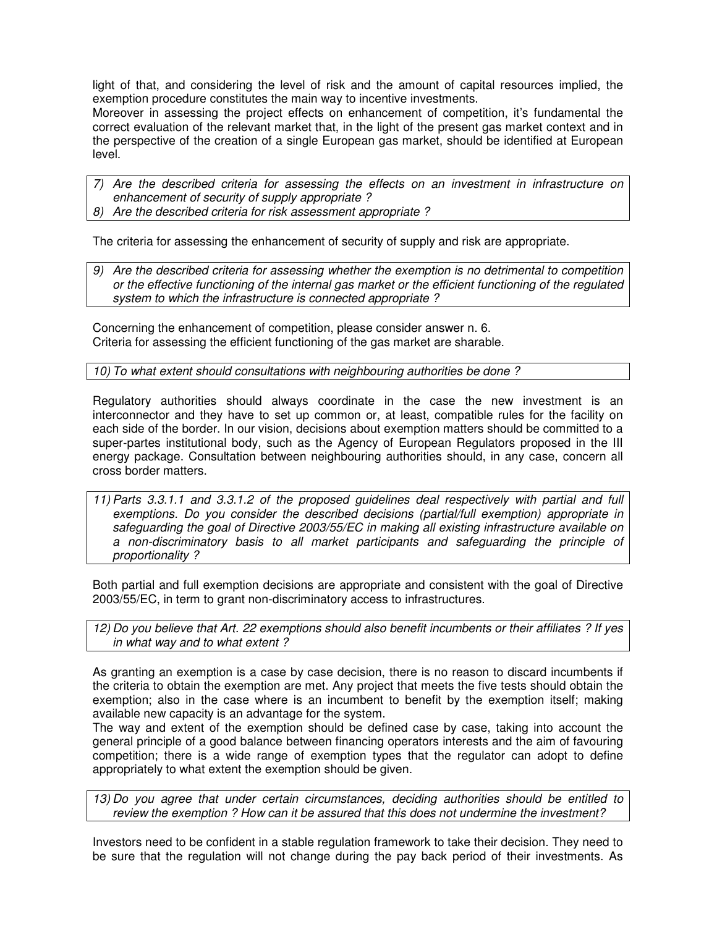light of that, and considering the level of risk and the amount of capital resources implied, the exemption procedure constitutes the main way to incentive investments.

Moreover in assessing the project effects on enhancement of competition, it's fundamental the correct evaluation of the relevant market that, in the light of the present gas market context and in the perspective of the creation of a single European gas market, should be identified at European level.

7) Are the described criteria for assessing the effects on an investment in infrastructure on enhancement of security of supply appropriate ?

8) Are the described criteria for risk assessment appropriate ?

The criteria for assessing the enhancement of security of supply and risk are appropriate.

Are the described criteria for assessing whether the exemption is no detrimental to competition or the effective functioning of the internal gas market or the efficient functioning of the regulated system to which the infrastructure is connected appropriate ?

Concerning the enhancement of competition, please consider answer n. 6. Criteria for assessing the efficient functioning of the gas market are sharable.

10) To what extent should consultations with neighbouring authorities be done ?

Regulatory authorities should always coordinate in the case the new investment is an interconnector and they have to set up common or, at least, compatible rules for the facility on each side of the border. In our vision, decisions about exemption matters should be committed to a super-partes institutional body, such as the Agency of European Regulators proposed in the III energy package. Consultation between neighbouring authorities should, in any case, concern all cross border matters.

11) Parts 3.3.1.1 and 3.3.1.2 of the proposed guidelines deal respectively with partial and full exemptions. Do you consider the described decisions (partial/full exemption) appropriate in safeguarding the goal of Directive 2003/55/EC in making all existing infrastructure available on a non-discriminatory basis to all market participants and safeguarding the principle of proportionality ?

Both partial and full exemption decisions are appropriate and consistent with the goal of Directive 2003/55/EC, in term to grant non-discriminatory access to infrastructures.

12) Do you believe that Art. 22 exemptions should also benefit incumbents or their affiliates ? If yes in what way and to what extent ?

As granting an exemption is a case by case decision, there is no reason to discard incumbents if the criteria to obtain the exemption are met. Any project that meets the five tests should obtain the exemption; also in the case where is an incumbent to benefit by the exemption itself; making available new capacity is an advantage for the system.

The way and extent of the exemption should be defined case by case, taking into account the general principle of a good balance between financing operators interests and the aim of favouring competition; there is a wide range of exemption types that the regulator can adopt to define appropriately to what extent the exemption should be given.

13) Do you agree that under certain circumstances, deciding authorities should be entitled to review the exemption ? How can it be assured that this does not undermine the investment?

Investors need to be confident in a stable regulation framework to take their decision. They need to be sure that the regulation will not change during the pay back period of their investments. As